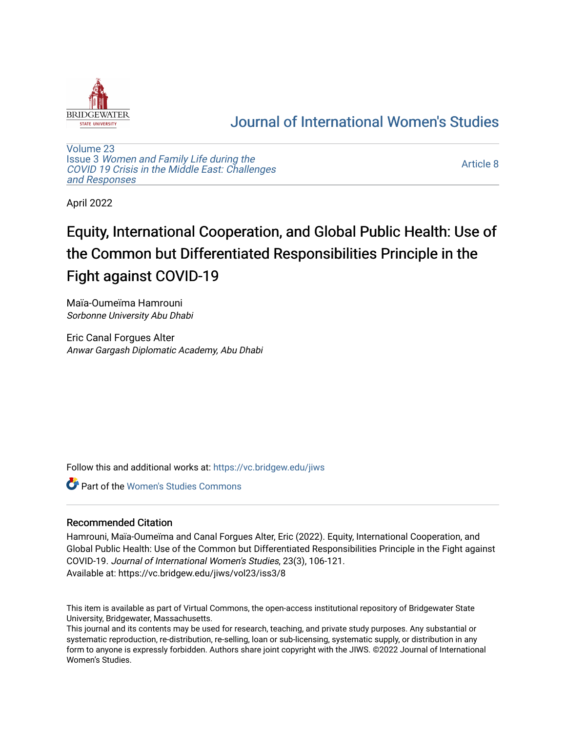

## [Journal of International Women's Studies](https://vc.bridgew.edu/jiws)

[Volume 23](https://vc.bridgew.edu/jiws/vol23) Issue 3 [Women and Family Life during the](https://vc.bridgew.edu/jiws/vol23/iss3)  [COVID 19 Crisis in the Middle East: Challenges](https://vc.bridgew.edu/jiws/vol23/iss3) [and Responses](https://vc.bridgew.edu/jiws/vol23/iss3) 

[Article 8](https://vc.bridgew.edu/jiws/vol23/iss3/8) 

April 2022

# Equity, International Cooperation, and Global Public Health: Use of the Common but Differentiated Responsibilities Principle in the Fight against COVID-19

Maïa-Oumeïma Hamrouni Sorbonne University Abu Dhabi

Eric Canal Forgues Alter Anwar Gargash Diplomatic Academy, Abu Dhabi

Follow this and additional works at: [https://vc.bridgew.edu/jiws](https://vc.bridgew.edu/jiws?utm_source=vc.bridgew.edu%2Fjiws%2Fvol23%2Fiss3%2F8&utm_medium=PDF&utm_campaign=PDFCoverPages)

**C** Part of the Women's Studies Commons

## Recommended Citation

Hamrouni, Maïa-Oumeïma and Canal Forgues Alter, Eric (2022). Equity, International Cooperation, and Global Public Health: Use of the Common but Differentiated Responsibilities Principle in the Fight against COVID-19. Journal of International Women's Studies, 23(3), 106-121. Available at: https://vc.bridgew.edu/jiws/vol23/iss3/8

This item is available as part of Virtual Commons, the open-access institutional repository of Bridgewater State University, Bridgewater, Massachusetts.

This journal and its contents may be used for research, teaching, and private study purposes. Any substantial or systematic reproduction, re-distribution, re-selling, loan or sub-licensing, systematic supply, or distribution in any form to anyone is expressly forbidden. Authors share joint copyright with the JIWS. ©2022 Journal of International Women's Studies.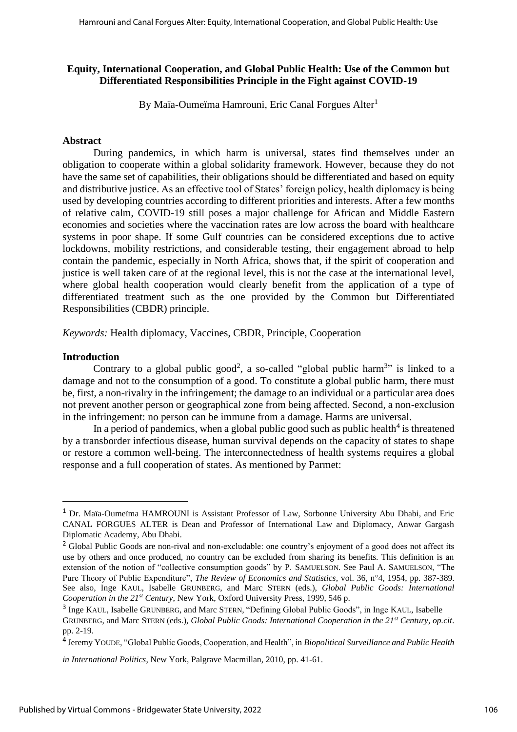## **Equity, International Cooperation, and Global Public Health: Use of the Common but Differentiated Responsibilities Principle in the Fight against COVID-19**

By Maïa-Oumeïma Hamrouni, Eric Canal Forgues Alter<sup>1</sup>

## **Abstract**

During pandemics, in which harm is universal, states find themselves under an obligation to cooperate within a global solidarity framework. However, because they do not have the same set of capabilities, their obligations should be differentiated and based on equity and distributive justice. As an effective tool of States' foreign policy, health diplomacy is being used by developing countries according to different priorities and interests. After a few months of relative calm, COVID-19 still poses a major challenge for African and Middle Eastern economies and societies where the vaccination rates are low across the board with healthcare systems in poor shape. If some Gulf countries can be considered exceptions due to active lockdowns, mobility restrictions, and considerable testing, their engagement abroad to help contain the pandemic, especially in North Africa, shows that, if the spirit of cooperation and justice is well taken care of at the regional level, this is not the case at the international level, where global health cooperation would clearly benefit from the application of a type of differentiated treatment such as the one provided by the Common but Differentiated Responsibilities (CBDR) principle.

*Keywords:* Health diplomacy, Vaccines, CBDR, Principle, Cooperation

## **Introduction**

Contrary to a global public good<sup>2</sup>, a so-called "global public harm<sup>3</sup>" is linked to a damage and not to the consumption of a good. To constitute a global public harm, there must be, first, a non-rivalry in the infringement; the damage to an individual or a particular area does not prevent another person or geographical zone from being affected. Second, a non-exclusion in the infringement: no person can be immune from a damage. Harms are universal.

In a period of pandemics, when a global public good such as public health $4$  is threatened by a transborder infectious disease, human survival depends on the capacity of states to shape or restore a common well-being. The interconnectedness of health systems requires a global response and a full cooperation of states. As mentioned by Parmet:

<sup>1</sup> Dr. Maïa-Oumeïma HAMROUNI is Assistant Professor of Law, Sorbonne University Abu Dhabi, and Eric CANAL FORGUES ALTER is Dean and Professor of International Law and Diplomacy, Anwar Gargash Diplomatic Academy, Abu Dhabi.

<sup>&</sup>lt;sup>2</sup> Global Public Goods are non-rival and non-excludable: one country's enjoyment of a good does not affect its use by others and once produced, no country can be excluded from sharing its benefits. This definition is an extension of the notion of "collective consumption goods" by P. SAMUELSON. See Paul A. SAMUELSON, "The Pure Theory of Public Expenditure", *The Review of Economics and Statistics*, vol. 36, n°4, 1954, pp. 387-389. See also, Inge KAUL, Isabelle GRUNBERG, and Marc STERN (eds.), *Global Public Goods: International Cooperation in the 21st Century*, New York, Oxford University Press, 1999, 546 p.

<sup>&</sup>lt;sup>3</sup> Inge KAUL, Isabelle GRUNBERG, and Marc STERN, "Defining Global Public Goods", in Inge KAUL, Isabelle GRUNBERG, and Marc STERN (eds.), *Global Public Goods: International Cooperation in the 21st Century*, *op.cit*. pp. 2-19.

<sup>4</sup> Jeremy YOUDE, "Global Public Goods, Cooperation, and Health", in *Biopolitical Surveillance and Public Health* 

*in International Politics*, New York, Palgrave Macmillan, 2010, pp. 41-61.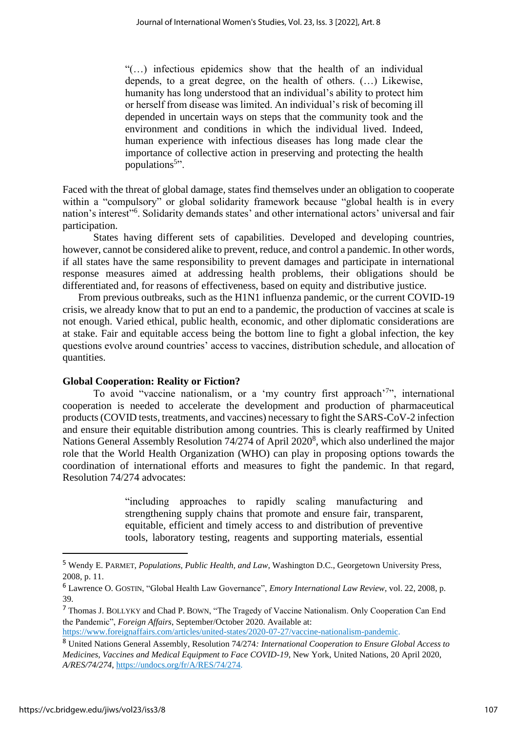"(…) infectious epidemics show that the health of an individual depends, to a great degree, on the health of others. (…) Likewise, humanity has long understood that an individual's ability to protect him or herself from disease was limited. An individual's risk of becoming ill depended in uncertain ways on steps that the community took and the environment and conditions in which the individual lived. Indeed, human experience with infectious diseases has long made clear the importance of collective action in preserving and protecting the health populations<sup>5</sup>".

Faced with the threat of global damage, states find themselves under an obligation to cooperate within a "compulsory" or global solidarity framework because "global health is in every nation's interest"<sup>6</sup> . Solidarity demands states' and other international actors' universal and fair participation.

States having different sets of capabilities. Developed and developing countries, however, cannot be considered alike to prevent, reduce, and control a pandemic. In other words, if all states have the same responsibility to prevent damages and participate in international response measures aimed at addressing health problems, their obligations should be differentiated and, for reasons of effectiveness, based on equity and distributive justice.

From previous outbreaks, such as the H1N1 influenza pandemic, or the current COVID-19 crisis, we already know that to put an end to a pandemic, the production of vaccines at scale is not enough. Varied ethical, public health, economic, and other diplomatic considerations are at stake. Fair and equitable access being the bottom line to fight a global infection, the key questions evolve around countries' access to vaccines, distribution schedule, and allocation of quantities.

## **Global Cooperation: Reality or Fiction?**

To avoid "vaccine nationalism, or a 'my country first approach'<sup>7</sup>", international cooperation is needed to accelerate the development and production of pharmaceutical products (COVID tests, treatments, and vaccines) necessary to fight the SARS-CoV-2 infection and ensure their equitable distribution among countries. This is clearly reaffirmed by United Nations General Assembly Resolution 74/274 of April 2020<sup>8</sup>, which also underlined the major role that the World Health Organization (WHO) can play in proposing options towards the coordination of international efforts and measures to fight the pandemic. In that regard, Resolution 74/274 advocates:

> "including approaches to rapidly scaling manufacturing and strengthening supply chains that promote and ensure fair, transparent, equitable, efficient and timely access to and distribution of preventive tools, laboratory testing, reagents and supporting materials, essential

<sup>5</sup> Wendy E. PARMET, *Populations, Public Health, and Law*, Washington D.C., Georgetown University Press, 2008, p. 11.

<sup>6</sup> Lawrence O. GOSTIN, "Global Health Law Governance", *Emory International Law Review*, vol. 22, 2008, p. 39.

<sup>7</sup> Thomas J. BOLLYKY and Chad P. BOWN, "The Tragedy of Vaccine Nationalism. Only Cooperation Can End the Pandemic", *Foreign Affairs*, September/October 2020. Available at:

[https://www.foreignaffairs.com/articles/united-states/2020-07-27/vaccine-nationalism-pandemic.](https://www.foreignaffairs.com/articles/united-states/2020-07-27/vaccine-nationalism-pandemic) <sup>8</sup> United Nations General Assembly, Resolution 74/274*: International Cooperation to Ensure Global Access to* 

*Medicines, Vaccines and Medical Equipment to Face COVID-19*, New York, United Nations, 20 April 2020, *A/RES/74/274*[, https://undocs.org/fr/A/RES/74/274.](https://undocs.org/fr/A/RES/74/274)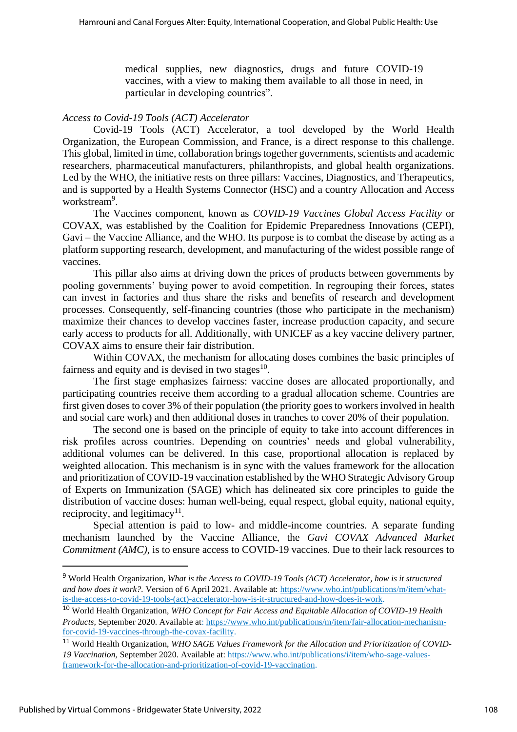medical supplies, new diagnostics, drugs and future COVID-19 vaccines, with a view to making them available to all those in need, in particular in developing countries".

#### *Access to Covid-19 Tools (ACT) Accelerator*

Covid-19 Tools (ACT) Accelerator, a tool developed by the World Health Organization, the European Commission, and France, is a direct response to this challenge. This global, limited in time, collaboration brings together governments, scientists and academic researchers, pharmaceutical manufacturers, philanthropists, and global health organizations. Led by the WHO, the initiative rests on three pillars: Vaccines, Diagnostics, and Therapeutics, and is supported by a Health Systems Connector (HSC) and a country Allocation and Access workstream<sup>9</sup>.

The Vaccines component, known as *COVID-19 Vaccines Global Access Facility* or COVAX, was established by the Coalition for Epidemic Preparedness Innovations (CEPI), Gavi – the Vaccine Alliance, and the WHO. Its purpose is to combat the disease by acting as a platform supporting research, development, and manufacturing of the widest possible range of vaccines.

This pillar also aims at driving down the prices of products between governments by pooling governments' buying power to avoid competition. In regrouping their forces, states can invest in factories and thus share the risks and benefits of research and development processes. Consequently, self-financing countries (those who participate in the mechanism) maximize their chances to develop vaccines faster, increase production capacity, and secure early access to products for all. Additionally, with UNICEF as a key vaccine delivery partner, COVAX aims to ensure their fair distribution.

Within COVAX, the mechanism for allocating doses combines the basic principles of fairness and equity and is devised in two stages $^{10}$ .

The first stage emphasizes fairness: vaccine doses are allocated proportionally, and participating countries receive them according to a gradual allocation scheme. Countries are first given doses to cover 3% of their population (the priority goes to workers involved in health and social care work) and then additional doses in tranches to cover 20% of their population.

The second one is based on the principle of equity to take into account differences in risk profiles across countries. Depending on countries' needs and global vulnerability, additional volumes can be delivered. In this case, proportional allocation is replaced by weighted allocation. This mechanism is in sync with the values framework for the allocation and prioritization of COVID-19 vaccination established by the WHO Strategic Advisory Group of Experts on Immunization (SAGE) which has delineated six core principles to guide the distribution of vaccine doses: human well-being, equal respect, global equity, national equity, reciprocity, and legitimacy<sup>11</sup>.

Special attention is paid to low- and middle-income countries. A separate funding mechanism launched by the Vaccine Alliance, the *Gavi COVAX Advanced Market Commitment (AMC),* is to ensure access to COVID-19 vaccines. Due to their lack resources to

<sup>9</sup> World Health Organization, *What is the Access to COVID-19 Tools (ACT) Accelerator, how is it structured*  and how does it work?. Version of 6 April 2021. Available at: [https://www.who.int/publications/m/item/what](https://www.who.int/publications/m/item/what-is-the-access-to-covid-19-tools-(act)-accelerator-how-is-it-structured-and-how-does-it-work)[is-the-access-to-covid-19-tools-\(act\)-accelerator-how-is-it-structured-and-how-does-it-work.](https://www.who.int/publications/m/item/what-is-the-access-to-covid-19-tools-(act)-accelerator-how-is-it-structured-and-how-does-it-work)

<sup>10</sup> World Health Organization, *WHO Concept for Fair Access and Equitable Allocation of COVID-19 Health Products,* September 2020. Available at: [https://www.who.int/publications/m/item/fair-allocation-mechanism](https://www.who.int/publications/m/item/fair-allocation-mechanism-for-covid-19-vaccines-through-the-covax-facility)[for-covid-19-vaccines-through-the-covax-facility.](https://www.who.int/publications/m/item/fair-allocation-mechanism-for-covid-19-vaccines-through-the-covax-facility)

<sup>11</sup> World Health Organization, *WHO SAGE Values Framework for the Allocation and Prioritization of COVID-19 Vaccination,* September 2020. Available at: [https://www.who.int/publications/i/item/who-sage-values](https://www.who.int/publications/i/item/who-sage-values-framework-for-the-allocation-and-prioritization-of-covid-19-vaccination)[framework-for-the-allocation-and-prioritization-of-covid-19-vaccination.](https://www.who.int/publications/i/item/who-sage-values-framework-for-the-allocation-and-prioritization-of-covid-19-vaccination)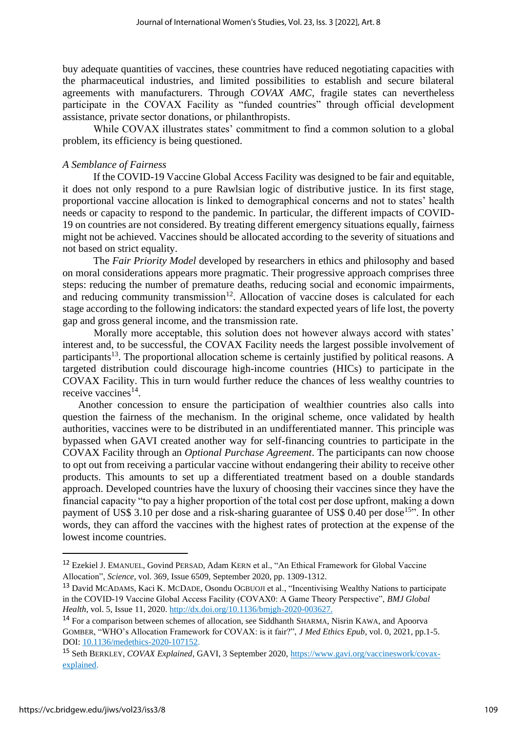buy adequate quantities of vaccines, these countries have reduced negotiating capacities with the pharmaceutical industries, and limited possibilities to establish and secure bilateral agreements with manufacturers. Through *COVAX AMC*, fragile states can nevertheless participate in the COVAX Facility as "funded countries" through official development assistance, private sector donations, or philanthropists.

While COVAX illustrates states' commitment to find a common solution to a global problem, its efficiency is being questioned.

#### *A Semblance of Fairness*

If the COVID-19 Vaccine Global Access Facility was designed to be fair and equitable, it does not only respond to a pure Rawlsian logic of distributive justice. In its first stage, proportional vaccine allocation is linked to demographical concerns and not to states' health needs or capacity to respond to the pandemic. In particular, the different impacts of COVID-19 on countries are not considered. By treating different emergency situations equally, fairness might not be achieved. Vaccines should be allocated according to the severity of situations and not based on strict equality.

The *Fair Priority Model* developed by researchers in ethics and philosophy and based on moral considerations appears more pragmatic. Their progressive approach comprises three steps: reducing the number of premature deaths, reducing social and economic impairments, and reducing community transmission<sup>12</sup>. Allocation of vaccine doses is calculated for each stage according to the following indicators: the standard expected years of life lost, the poverty gap and gross general income, and the transmission rate.

Morally more acceptable, this solution does not however always accord with states' interest and, to be successful, the COVAX Facility needs the largest possible involvement of participants<sup>13</sup>. The proportional allocation scheme is certainly justified by political reasons. A targeted distribution could discourage high-income countries (HICs) to participate in the COVAX Facility. This in turn would further reduce the chances of less wealthy countries to receive vaccines<sup>14</sup>.

Another concession to ensure the participation of wealthier countries also calls into question the fairness of the mechanism. In the original scheme, once validated by health authorities, vaccines were to be distributed in an undifferentiated manner. This principle was bypassed when GAVI created another way for self-financing countries to participate in the COVAX Facility through an *Optional Purchase Agreement*. The participants can now choose to opt out from receiving a particular vaccine without endangering their ability to receive other products. This amounts to set up a differentiated treatment based on a double standards approach. Developed countries have the luxury of choosing their vaccines since they have the financial capacity "to pay a higher proportion of the total cost per dose upfront, making a down payment of US\$ 3.10 per dose and a risk-sharing guarantee of US\$ 0.40 per dose<sup>15"</sup>. In other words, they can afford the vaccines with the highest rates of protection at the expense of the lowest income countries.

<sup>&</sup>lt;sup>12</sup> Ezekiel J. EMANUEL, Govind PERSAD, Adam KERN et al., "An Ethical Framework for Global Vaccine Allocation", *Science*, vol. 369, Issue 6509, September 2020, pp. 1309-1312.

<sup>13</sup> David MCADAMS, Kaci K. MCDADE, Osondu OGBUOJI et al., "Incentivising Wealthy Nations to participate in the COVID-19 Vaccine Global Access Facility (COVAX0: A Game Theory Perspective", *BMJ Global Health*, vol. 5, Issue 11, 2020. [http://dx.doi.org/10.1136/bmjgh-2020-003627.](http://dx.doi.org/10.1136/bmjgh-2020-003627)

<sup>14</sup> For a comparison between schemes of allocation, see Siddhanth SHARMA, Nisrin KAWA, and Apoorva GOMBER, "WHO's Allocation Framework for COVAX: is it fair?", *J Med Ethics Epub*, vol. 0, 2021, pp.1-5. DOI: [10.1136/medethics-2020-107152.](https://philpapers.org/go.pl?id=SHAWAF&proxyId=&u=http%3A%2F%2Fdx.doi.org%2F10.1136%2Fmedethics-2020-107152)

<sup>15</sup> Seth BERKLEY, *COVAX Explained*, GAVI, 3 September 2020, [https://www.gavi.org/vaccineswork/covax](https://www.gavi.org/vaccineswork/covax-explained)[explained.](https://www.gavi.org/vaccineswork/covax-explained)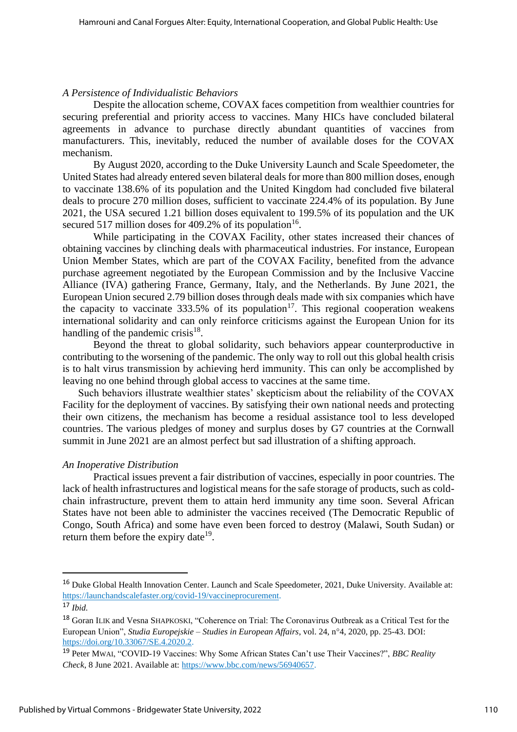#### *A Persistence of Individualistic Behaviors*

Despite the allocation scheme, COVAX faces competition from wealthier countries for securing preferential and priority access to vaccines. Many HICs have concluded bilateral agreements in advance to purchase directly abundant quantities of vaccines from manufacturers. This, inevitably, reduced the number of available doses for the COVAX mechanism.

By August 2020, according to the Duke University Launch and Scale Speedometer, the United States had already entered seven bilateral deals for more than 800 million doses, enough to vaccinate 138.6% of its population and the United Kingdom had concluded five bilateral deals to procure 270 million doses, sufficient to vaccinate 224.4% of its population. By June 2021, the USA secured 1.21 billion doses equivalent to 199.5% of its population and the UK secured 517 million doses for 409.2% of its population<sup>16</sup>.

While participating in the COVAX Facility, other states increased their chances of obtaining vaccines by clinching deals with pharmaceutical industries. For instance, European Union Member States, which are part of the COVAX Facility, benefited from the advance purchase agreement negotiated by the European Commission and by the Inclusive Vaccine Alliance (IVA) gathering France, Germany, Italy, and the Netherlands. By June 2021, the European Union secured 2.79 billion doses through deals made with six companies which have the capacity to vaccinate  $333.5\%$  of its population<sup>17</sup>. This regional cooperation weakens international solidarity and can only reinforce criticisms against the European Union for its handling of the pandemic crisis $18$ .

Beyond the threat to global solidarity, such behaviors appear counterproductive in contributing to the worsening of the pandemic. The only way to roll out this global health crisis is to halt virus transmission by achieving herd immunity. This can only be accomplished by leaving no one behind through global access to vaccines at the same time.

Such behaviors illustrate wealthier states' skepticism about the reliability of the COVAX Facility for the deployment of vaccines. By satisfying their own national needs and protecting their own citizens, the mechanism has become a residual assistance tool to less developed countries. The various pledges of money and surplus doses by G7 countries at the Cornwall summit in June 2021 are an almost perfect but sad illustration of a shifting approach.

#### *An Inoperative Distribution*

Practical issues prevent a fair distribution of vaccines, especially in poor countries. The lack of health infrastructures and logistical means for the safe storage of products, such as coldchain infrastructure, prevent them to attain herd immunity any time soon. Several African States have not been able to administer the vaccines received (The Democratic Republic of Congo, South Africa) and some have even been forced to destroy (Malawi, South Sudan) or return them before the expiry date<sup>19</sup>.

<sup>&</sup>lt;sup>16</sup> Duke Global Health Innovation Center. Launch and Scale Speedometer, 2021, Duke University. Available at: [https://launchandscalefaster.org/covid-19/vaccineprocurement.](https://launchandscalefaster.org/covid-19/vaccineprocurement)

<sup>17</sup> *Ibid.*

<sup>18</sup> Goran ILIK and Vesna SHAPKOSKI, "Coherence on Trial: The Coronavirus Outbreak as a Critical Test for the European Union", *Studia Europejskie – Studies in European Affairs*, vol. 24, n°4, 2020, pp. 25-43. DOI: [https://doi.org/10.33067/SE.4.2020.2.](https://doi.org/10.33067/SE.4.2020.2)

<sup>19</sup> Peter MWAI, "COVID-19 Vaccines: Why Some African States Can't use Their Vaccines?", *BBC Reality Check*, 8 June 2021. Available at: [https://www.bbc.com/news/56940657.](https://www.bbc.com/news/56940657)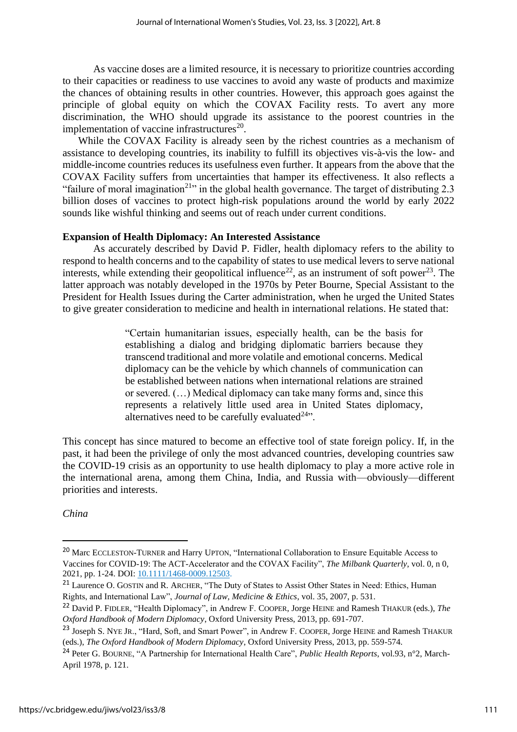As vaccine doses are a limited resource, it is necessary to prioritize countries according to their capacities or readiness to use vaccines to avoid any waste of products and maximize the chances of obtaining results in other countries. However, this approach goes against the principle of global equity on which the COVAX Facility rests. To avert any more discrimination, the WHO should upgrade its assistance to the poorest countries in the implementation of vaccine infrastructures $^{20}$ .

While the COVAX Facility is already seen by the richest countries as a mechanism of assistance to developing countries, its inability to fulfill its objectives vis-à-vis the low- and middle-income countries reduces its usefulness even further. It appears from the above that the COVAX Facility suffers from uncertainties that hamper its effectiveness. It also reflects a "failure of moral imagination<sup>21</sup>" in the global health governance. The target of distributing 2.3 billion doses of vaccines to protect high-risk populations around the world by early 2022 sounds like wishful thinking and seems out of reach under current conditions.

#### **Expansion of Health Diplomacy: An Interested Assistance**

As accurately described by David P. Fidler, health diplomacy refers to the ability to respond to health concerns and to the capability of states to use medical levers to serve national interests, while extending their geopolitical influence<sup>22</sup>, as an instrument of soft power<sup>23</sup>. The latter approach was notably developed in the 1970s by Peter Bourne, Special Assistant to the President for Health Issues during the Carter administration, when he urged the United States to give greater consideration to medicine and health in international relations. He stated that:

> "Certain humanitarian issues, especially health, can be the basis for establishing a dialog and bridging diplomatic barriers because they transcend traditional and more volatile and emotional concerns. Medical diplomacy can be the vehicle by which channels of communication can be established between nations when international relations are strained or severed. (…) Medical diplomacy can take many forms and, since this represents a relatively little used area in United States diplomacy, alternatives need to be carefully evaluated $24$ .

This concept has since matured to become an effective tool of state foreign policy. If, in the past, it had been the privilege of only the most advanced countries, developing countries saw the COVID-19 crisis as an opportunity to use health diplomacy to play a more active role in the international arena, among them China, India, and Russia with—obviously—different priorities and interests.

*China*

<sup>20</sup> Marc ECCLESTON-TURNER and Harry UPTON, "International Collaboration to Ensure Equitable Access to Vaccines for COVID-19: The ACT-Accelerator and the COVAX Facility", *The Milbank Quarterly*, vol. 0, n 0, 2021, pp. 1-24. DOI: [10.1111/1468-0009.12503.](https://doi.org/10.1111/1468-0009.12503)

<sup>&</sup>lt;sup>21</sup> Laurence O. GOSTIN and R. ARCHER, "The Duty of States to Assist Other States in Need: Ethics, Human Rights, and International Law", *Journal of Law, Medicine & Ethics*, vol. 35, 2007, p. 531.

<sup>22</sup> David P. FIDLER, "Health Diplomacy", in Andrew F. COOPER, Jorge HEINE and Ramesh THAKUR (eds.), *The Oxford Handbook of Modern Diplomacy*, Oxford University Press, 2013, pp. 691-707.

<sup>&</sup>lt;sup>23</sup> Joseph S. NYE JR., "Hard, Soft, and Smart Power", in Andrew F. COOPER, Jorge HEINE and Ramesh THAKUR (eds.), *The Oxford Handbook of Modern Diplomacy*, Oxford University Press, 2013, pp. 559-574.

<sup>24</sup> Peter G. BOURNE, "A Partnership for International Health Care", *Public Health Reports*, vol.93, n°2, March-April 1978, p. 121.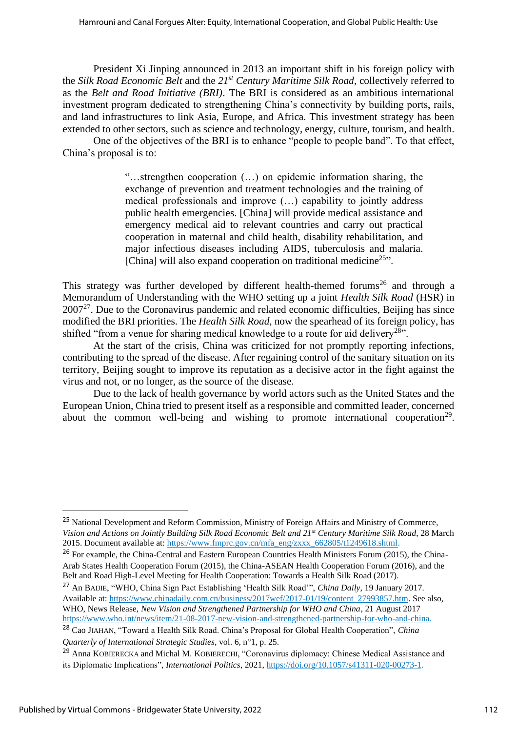President Xi Jinping announced in 2013 an important shift in his foreign policy with the *Silk Road Economic Belt* and the *21st Century Maritime Silk Road*, collectively referred to as the *Belt and Road Initiative (BRI)*. The BRI is considered as an ambitious international investment program dedicated to strengthening China's connectivity by building ports, rails, and land infrastructures to link Asia, Europe, and Africa. This investment strategy has been extended to other sectors, such as science and technology, energy, culture, tourism, and health.

One of the objectives of the BRI is to enhance "people to people band". To that effect, China's proposal is to:

> "…strengthen cooperation (…) on epidemic information sharing, the exchange of prevention and treatment technologies and the training of medical professionals and improve (…) capability to jointly address public health emergencies. [China] will provide medical assistance and emergency medical aid to relevant countries and carry out practical cooperation in maternal and child health, disability rehabilitation, and major infectious diseases including AIDS, tuberculosis and malaria. [China] will also expand cooperation on traditional medicine<sup>25</sup>".

This strategy was further developed by different health-themed forums<sup>26</sup> and through a Memorandum of Understanding with the WHO setting up a joint *Health Silk Road* (HSR) in  $2007<sup>27</sup>$ . Due to the Coronavirus pandemic and related economic difficulties, Beijing has since modified the BRI priorities. The *Health Silk Road*, now the spearhead of its foreign policy, has shifted "from a venue for sharing medical knowledge to a route for aid delivery<sup>28"</sup>.

At the start of the crisis, China was criticized for not promptly reporting infections, contributing to the spread of the disease. After regaining control of the sanitary situation on its territory, Beijing sought to improve its reputation as a decisive actor in the fight against the virus and not, or no longer, as the source of the disease.

Due to the lack of health governance by world actors such as the United States and the European Union, China tried to present itself as a responsible and committed leader, concerned about the common well-being and wishing to promote international cooperation<sup>29</sup>.

<sup>&</sup>lt;sup>25</sup> National Development and Reform Commission, Ministry of Foreign Affairs and Ministry of Commerce, *Vision and Actions on Jointly Building Silk Road Economic Belt and 21st Century Maritime Silk Road*, 28 March 2015. Document available at: [https://www.fmprc.gov.cn/mfa\\_eng/zxxx\\_662805/t1249618.shtml.](https://www.fmprc.gov.cn/mfa_eng/zxxx_662805/t1249618.shtml)

<sup>&</sup>lt;sup>26</sup> For example, the China-Central and Eastern European Countries Health Ministers Forum (2015), the China-Arab States Health Cooperation Forum (2015), the China-ASEAN Health Cooperation Forum (2016), and the Belt and Road High-Level Meeting for Health Cooperation: Towards a Health Silk Road (2017).

<sup>27</sup> An BAIJIE, "WHO, China Sign Pact Establishing 'Health Silk Road'", *China Daily*, 19 January 2017. Available at: [https://www.chinadaily.com.cn/business/2017wef/2017-01/19/content\\_27993857.htm.](https://www.chinadaily.com.cn/business/2017wef/2017-01/19/content_27993857.htm) See also, WHO, News Release, *New Vision and Strengthened Partnership for WHO and China*, 21 August 2017 [https://www.who.int/news/item/21-08-2017-new-vision-and-strengthened-partnership-for-who-and-china.](https://www.who.int/news/item/21-08-2017-new-vision-and-strengthened-partnership-for-who-and-china)

<sup>28</sup> Cao JIAHAN, "Toward a Health Silk Road. China's Proposal for Global Health Cooperation", *China Quarterly of International Strategic Studies*, vol. 6, n°1, p. 25.

<sup>29</sup> Anna KOBIERECKA and Michal M. KOBIERECHI, "Coronavirus diplomacy: Chinese Medical Assistance and its Diplomatic Implications", *International Politics*, 2021[, https://doi.org/10.1057/s41311-020-00273-1.](https://doi.org/10.1057/s41311-020-00273-1)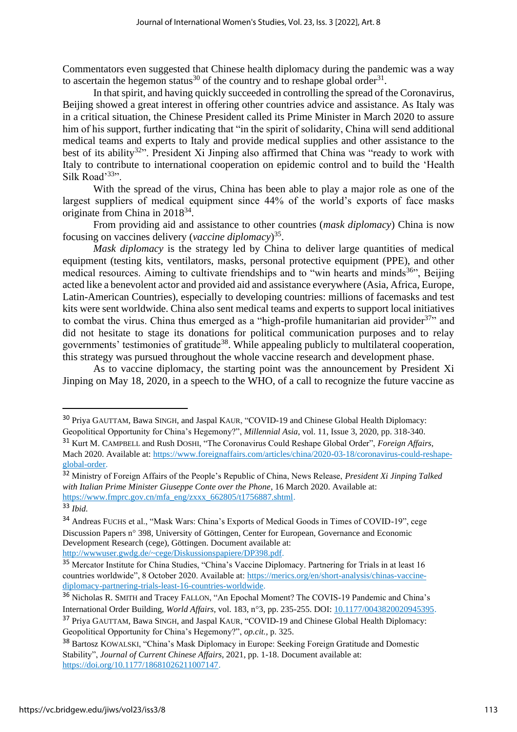Commentators even suggested that Chinese health diplomacy during the pandemic was a way to ascertain the hegemon status<sup>30</sup> of the country and to reshape global order<sup>31</sup>.

In that spirit, and having quickly succeeded in controlling the spread of the Coronavirus, Beijing showed a great interest in offering other countries advice and assistance. As Italy was in a critical situation, the Chinese President called its Prime Minister in March 2020 to assure him of his support, further indicating that "in the spirit of solidarity, China will send additional medical teams and experts to Italy and provide medical supplies and other assistance to the best of its ability<sup>32</sup>". President Xi Jinping also affirmed that China was "ready to work with Italy to contribute to international cooperation on epidemic control and to build the 'Health Silk Road'<sup>33</sup>".

With the spread of the virus, China has been able to play a major role as one of the largest suppliers of medical equipment since 44% of the world's exports of face masks originate from China in 2018<sup>34</sup>.

From providing aid and assistance to other countries (*mask diplomacy*) China is now focusing on vaccines delivery (*vaccine diplomacy*) 35 .

*Mask diplomacy* is the strategy led by China to deliver large quantities of medical equipment (testing kits, ventilators, masks, personal protective equipment (PPE), and other medical resources. Aiming to cultivate friendships and to "win hearts and minds $36$ ", Beijing acted like a benevolent actor and provided aid and assistance everywhere (Asia, Africa, Europe, Latin-American Countries), especially to developing countries: millions of facemasks and test kits were sent worldwide. China also sent medical teams and experts to support local initiatives to combat the virus. China thus emerged as a "high-profile humanitarian aid provider $37$ " and did not hesitate to stage its donations for political communication purposes and to relay governments' testimonies of gratitude<sup>38</sup>. While appealing publicly to multilateral cooperation, this strategy was pursued throughout the whole vaccine research and development phase.

As to vaccine diplomacy, the starting point was the announcement by President Xi Jinping on May 18, 2020, in a speech to the WHO, of a call to recognize the future vaccine as

<sup>30</sup> Priya GAUTTAM, Bawa SINGH, and Jaspal KAUR, "COVID-19 and Chinese Global Health Diplomacy: Geopolitical Opportunity for China's Hegemony?", *Millennial Asia*, vol. 11, Issue 3, 2020, pp. 318-340.

<sup>31</sup> Kurt M. CAMPBELL and Rush DOSHI, "The Coronavirus Could Reshape Global Order", *Foreign Affairs*, Mach 2020. Available at: [https://www.foreignaffairs.com/articles/china/2020-03-18/coronavirus-could-reshape](https://www.foreignaffairs.com/articles/china/2020-03-18/coronavirus-could-reshape-global-order)[global-order.](https://www.foreignaffairs.com/articles/china/2020-03-18/coronavirus-could-reshape-global-order)

<sup>32</sup> Ministry of Foreign Affairs of the People's Republic of China, News Release, *President Xi Jinping Talked with Italian Prime Minister Giuseppe Conte over the Phone*, 16 March 2020. Available at: [https://www.fmprc.gov.cn/mfa\\_eng/zxxx\\_662805/t1756887.shtml.](https://www.fmprc.gov.cn/mfa_eng/zxxx_662805/t1756887.shtml)

<sup>33</sup> *Ibid.*

<sup>34</sup> Andreas FUCHS et al., "Mask Wars: China's Exports of Medical Goods in Times of COVID-19", cege Discussion Papers n° 398, University of Göttingen, Center for European, Governance and Economic Development Research (cege), Göttingen. Document available at: [http://wwwuser.gwdg.de/~cege/Diskussionspapiere/DP398.pdf.](http://wwwuser.gwdg.de/~cege/Diskussionspapiere/DP398.pdf)

<sup>35</sup> Mercator Institute for China Studies, "China's Vaccine Diplomacy. Partnering for Trials in at least 16 countries worldwide", 8 October 2020. Available at: [https://merics.org/en/short-analysis/chinas-vaccine](https://merics.org/en/short-analysis/chinas-vaccine-diplomacy-partnering-trials-least-16-countries-worldwide)[diplomacy-partnering-trials-least-16-countries-worldwide.](https://merics.org/en/short-analysis/chinas-vaccine-diplomacy-partnering-trials-least-16-countries-worldwide)

<sup>36</sup> Nicholas R. SMITH and Tracey FALLON, "An Epochal Moment? The COVIS-19 Pandemic and China's International Order Building, *World Affairs*, vol. 183, n°3, pp. 235-255. DOI: [10.1177/0043820020945395.](http://dx.doi.org/10.1177/0043820020945395)

<sup>37</sup> Priya GAUTTAM, Bawa SINGH, and Jaspal KAUR, "COVID-19 and Chinese Global Health Diplomacy: Geopolitical Opportunity for China's Hegemony?", *op.cit.,* p. 325.

<sup>38</sup> Bartosz KOWALSKI, "China's Mask Diplomacy in Europe: Seeking Foreign Gratitude and Domestic Stability", *Journal of Current Chinese Affairs*, 2021, pp. 1-18. Document available at: [https://doi.org/10.1177/18681026211007147.](https://doi.org/10.1177%2F18681026211007147)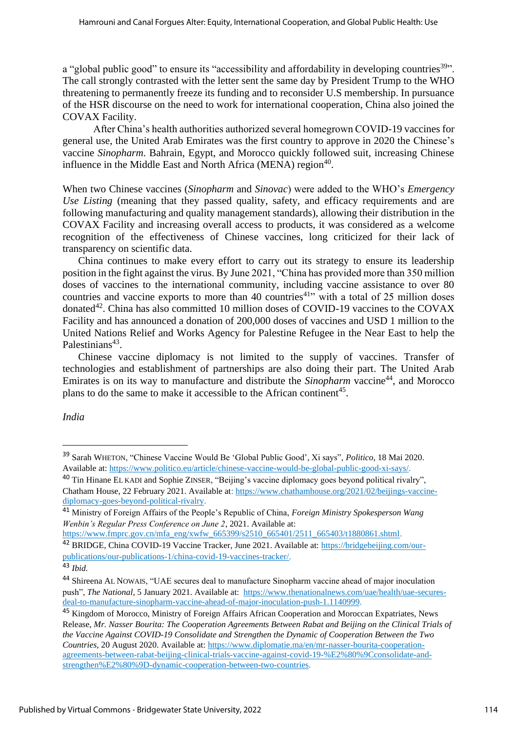a "global public good" to ensure its "accessibility and affordability in developing countries<sup>39</sup>". The call strongly contrasted with the letter sent the same day by President Trump to the WHO threatening to permanently freeze its funding and to reconsider U.S membership. In pursuance of the HSR discourse on the need to work for international cooperation, China also joined the COVAX Facility.

After China's health authorities authorized several homegrown COVID-19 vaccines for general use, the United Arab Emirates was the first country to approve in 2020 the Chinese's vaccine *Sinopharm*. Bahrain, Egypt, and Morocco quickly followed suit, increasing Chinese influence in the Middle East and North Africa (MENA) region<sup>40</sup>.

When two Chinese vaccines (*Sinopharm* and *Sinovac*) were added to the WHO's *Emergency Use Listing* (meaning that they passed quality, safety, and efficacy requirements and are following manufacturing and quality management standards), allowing their distribution in the COVAX Facility and increasing overall access to products, it was considered as a welcome recognition of the effectiveness of Chinese vaccines, long criticized for their lack of transparency on scientific data.

China continues to make every effort to carry out its strategy to ensure its leadership position in the fight against the virus. By June 2021, "China has provided more than 350 million doses of vaccines to the international community, including vaccine assistance to over 80 countries and vaccine exports to more than 40 countries<sup>41</sup> with a total of 25 million doses donated<sup>42</sup>. China has also committed 10 million doses of COVID-19 vaccines to the COVAX Facility and has announced a donation of 200,000 doses of vaccines and USD 1 million to the United Nations Relief and Works Agency for Palestine Refugee in the Near East to help the Palestinians<sup>43</sup>.

Chinese vaccine diplomacy is not limited to the supply of vaccines. Transfer of technologies and establishment of partnerships are also doing their part. The United Arab Emirates is on its way to manufacture and distribute the *Sinopharm* vaccine<sup>44</sup>, and Morocco plans to do the same to make it accessible to the African continent<sup>45</sup>.

*India*

<sup>39</sup> Sarah WHETON, "Chinese Vaccine Would Be 'Global Public Good', Xi says", *Politico*, 18 Mai 2020. Available at: [https://www.politico.eu/article/chinese-vaccine-would-be-global-public-good-xi-says/.](https://www.politico.eu/article/chinese-vaccine-would-be-global-public-good-xi-says/)

<sup>40</sup> Tin Hinane EL KADI and Sophie ZINSER, "Beijing's vaccine diplomacy goes beyond political rivalry", Chatham House, 22 February 2021. Available at: [https://www.chathamhouse.org/2021/02/beijings-vaccine](https://www.chathamhouse.org/2021/02/beijings-vaccine-diplomacy-goes-beyond-political-rivalry)[diplomacy-goes-beyond-political-rivalry.](https://www.chathamhouse.org/2021/02/beijings-vaccine-diplomacy-goes-beyond-political-rivalry)

<sup>41</sup> Ministry of Foreign Affairs of the People's Republic of China, *Foreign Ministry Spokesperson Wang Wenbin's Regular Press Conference on June 2*, 2021. Available at:

https://www.fmprc.gov.cn/mfa\_eng/xwfw\_665399/s2510\_665401/2511\_665403/t1880861.shtml. <sup>42</sup> BRIDGE, China COVID-19 Vaccine Tracker, June 2021. Available at: [https://bridgebeijing.com/our](https://bridgebeijing.com/our-publications/our-publications-1/china-covid-19-vaccines-tracker/)[publications/our-publications-1/china-covid-19-vaccines-tracker/.](https://bridgebeijing.com/our-publications/our-publications-1/china-covid-19-vaccines-tracker/)

<sup>43</sup> *Ibid.*

<sup>44</sup> Shireena AL NOWAIS, "UAE secures deal to manufacture Sinopharm vaccine ahead of major inoculation push", *The National*, 5 January 2021. Available at: [https://www.thenationalnews.com/uae/health/uae-secures](https://www.thenationalnews.com/uae/health/uae-secures-deal-to-manufacture-sinopharm-vaccine-ahead-of-major-inoculation-push-1.1140999)[deal-to-manufacture-sinopharm-vaccine-ahead-of-major-inoculation-push-1.1140999.](https://www.thenationalnews.com/uae/health/uae-secures-deal-to-manufacture-sinopharm-vaccine-ahead-of-major-inoculation-push-1.1140999)

<sup>45</sup> Kingdom of Morocco, Ministry of Foreign Affairs African Cooperation and Moroccan Expatriates, News Release, *Mr. Nasser Bourita: The Cooperation Agreements Between Rabat and Beijing on the Clinical Trials of the Vaccine Against COVID-19 Consolidate and Strengthen the Dynamic of Cooperation Between the Two Countries*, 20 August 2020. Available at: [https://www.diplomatie.ma/en/mr-nasser-bourita-cooperation](https://www.diplomatie.ma/en/mr-nasser-bourita-cooperation-agreements-between-rabat-beijing-clinical-trials-vaccine-against-covid-19-%E2%80%9Cconsolidate-and-strengthen%E2%80%9D-dynamic-cooperation-between-two-countries)[agreements-between-rabat-beijing-clinical-trials-vaccine-against-covid-19-%E2%80%9Cconsolidate-and](https://www.diplomatie.ma/en/mr-nasser-bourita-cooperation-agreements-between-rabat-beijing-clinical-trials-vaccine-against-covid-19-%E2%80%9Cconsolidate-and-strengthen%E2%80%9D-dynamic-cooperation-between-two-countries)[strengthen%E2%80%9D-dynamic-cooperation-between-two-countries.](https://www.diplomatie.ma/en/mr-nasser-bourita-cooperation-agreements-between-rabat-beijing-clinical-trials-vaccine-against-covid-19-%E2%80%9Cconsolidate-and-strengthen%E2%80%9D-dynamic-cooperation-between-two-countries)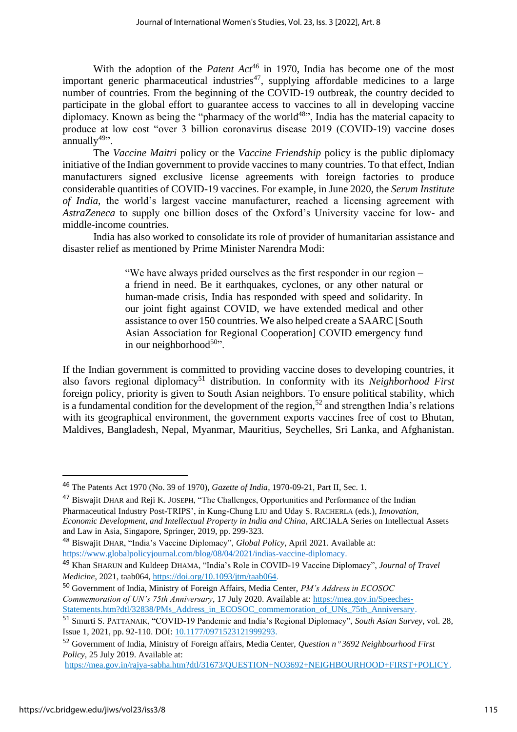With the adoption of the *Patent Act*<sup>46</sup> in 1970, India has become one of the most important generic pharmaceutical industries<sup>47</sup>, supplying affordable medicines to a large number of countries. From the beginning of the COVID-19 outbreak, the country decided to participate in the global effort to guarantee access to vaccines to all in developing vaccine diplomacy. Known as being the "pharmacy of the world<sup>48</sup>", India has the material capacity to produce at low cost "over 3 billion coronavirus disease 2019 (COVID-19) vaccine doses  $annually^{49}$ .

The *Vaccine Maitri* policy or the *Vaccine Friendship* policy is the public diplomacy initiative of the Indian government to provide vaccines to many countries. To that effect, Indian manufacturers signed exclusive license agreements with foreign factories to produce considerable quantities of COVID-19 vaccines. For example, in June 2020, the *Serum Institute of India*, the world's largest vaccine manufacturer, reached a licensing agreement with *AstraZeneca* to supply one billion doses of the Oxford's University vaccine for low- and middle-income countries.

India has also worked to consolidate its role of provider of humanitarian assistance and disaster relief as mentioned by Prime Minister Narendra Modi:

> "We have always prided ourselves as the first responder in our region – a friend in need. Be it earthquakes, cyclones, or any other natural or human-made crisis, India has responded with speed and solidarity. In our joint fight against COVID, we have extended medical and other assistance to over 150 countries. We also helped create a SAARC [South Asian Association for Regional Cooperation] COVID emergency fund in our neighborhood $50$ ".

If the Indian government is committed to providing vaccine doses to developing countries, it also favors regional diplomacy<sup>51</sup> distribution. In conformity with its *Neighborhood First* foreign policy, priority is given to South Asian neighbors. To ensure political stability, which is a fundamental condition for the development of the region,<sup>52</sup> and strengthen India's relations with its geographical environment, the government exports vaccines free of cost to Bhutan, Maldives, Bangladesh, Nepal, Myanmar, Mauritius, Seychelles, Sri Lanka, and Afghanistan.

<sup>50</sup> Government of India, Ministry of Foreign Affairs, Media Center, *PM's Address in ECOSOC Commemoration of UN's 75th Anniversary*, 17 July 2020. Available at: [https://mea.gov.in/Speeches-](https://mea.gov.in/Speeches-Statements.htm?dtl/32838/PMs_Address_in_ECOSOC_commemoration_of_UNs_75th_Anniversary)

[https://mea.gov.in/rajya-sabha.htm?dtl/31673/QUESTION+NO3692+NEIGHBOURHOOD+FIRST+POLICY.](https://mea.gov.in/rajya-sabha.htm?dtl/31673/QUESTION+NO3692+NEIGHBOURHOOD+FIRST+POLICY)

<sup>46</sup> The Patents Act 1970 (No. 39 of 1970), *Gazette of India*, 1970-09-21, Part II, Sec. 1.

<sup>47</sup> Biswajit DHAR and Reji K. JOSEPH, "The Challenges, Opportunities and Performance of the Indian Pharmaceutical Industry Post-TRIPS', in Kung-Chung LIU and Uday S. RACHERLA (eds.), *Innovation, Economic Development, and Intellectual Property in India and China*, ARCIALA Series on Intellectual Assets and Law in Asia, Singapore, Springer, 2019, pp. 299-323.

<sup>48</sup> Biswajit DHAR, "India's Vaccine Diplomacy", *Global Policy*, April 2021. Available at: [https://www.globalpolicyjournal.com/blog/08/04/2021/indias-vaccine-diplomacy.](https://www.globalpolicyjournal.com/blog/08/04/2021/indias-vaccine-diplomacy)

<sup>49</sup> Khan SHARUN and Kuldeep DHAMA, "India's Role in COVID-19 Vaccine Diplomacy", *Journal of Travel Medicine*, 2021, taab064, [https://doi.org/10.1093/jtm/taab064.](https://doi.org/10.1093/jtm/taab064)

Statements.htm?dtl/32838/PMs\_Address\_in\_ECOSOC\_commemoration\_of\_UNs\_75th\_Anniversary.

<sup>51</sup> Smurti S. PATTANAIK, "COVID-19 Pandemic and India's Regional Diplomacy", *South Asian Survey*, vol. 28, Issue 1, 2021, pp. 92-110. DOI: [10.1177/0971523121999293.](https://doi.org/10.1177/0971523121999293)

<sup>52</sup> Government of India, Ministry of Foreign affairs, Media Center, *Question n 3692 Neighbourhood First Policy*, 25 July 2019. Available at: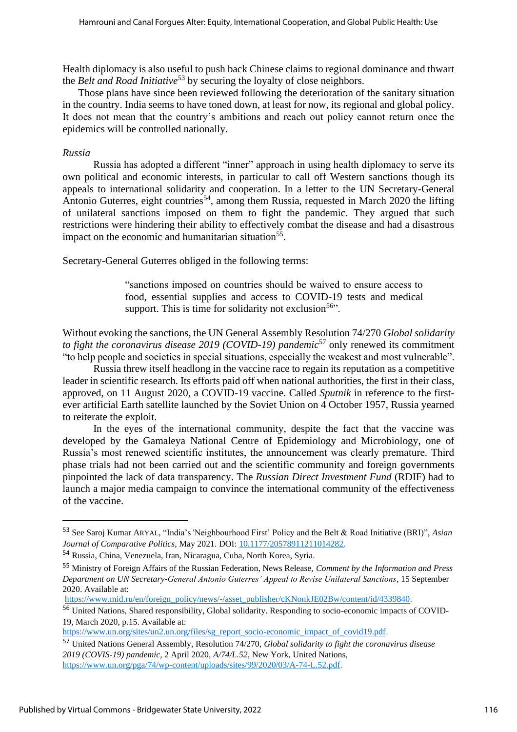Health diplomacy is also useful to push back Chinese claims to regional dominance and thwart the *Belt and Road Initiative*<sup>53</sup> by securing the loyalty of close neighbors.

Those plans have since been reviewed following the deterioration of the sanitary situation in the country. India seems to have toned down, at least for now, its regional and global policy. It does not mean that the country's ambitions and reach out policy cannot return once the epidemics will be controlled nationally.

#### *Russia*

Russia has adopted a different "inner" approach in using health diplomacy to serve its own political and economic interests, in particular to call off Western sanctions though its appeals to international solidarity and cooperation. In a letter to the UN Secretary-General Antonio Guterres, eight countries<sup>54</sup>, among them Russia, requested in March 2020 the lifting of unilateral sanctions imposed on them to fight the pandemic. They argued that such restrictions were hindering their ability to effectively combat the disease and had a disastrous impact on the economic and humanitarian situation<sup>55</sup>.

Secretary-General Guterres obliged in the following terms:

"sanctions imposed on countries should be waived to ensure access to food, essential supplies and access to COVID-19 tests and medical support. This is time for solidarity not exclusion<sup>56</sup>.

Without evoking the sanctions, the UN General Assembly Resolution 74/270 *Global solidarity to fight the coronavirus disease 2019 (COVID-19) pandemic*<sup>57</sup> only renewed its commitment "to help people and societies in special situations, especially the weakest and most vulnerable".

Russia threw itself headlong in the vaccine race to regain its reputation as a competitive leader in scientific research. Its efforts paid off when national authorities, the first in their class, approved, on 11 August 2020, a COVID-19 vaccine. Called *Sputnik* in reference to the firstever artificial Earth satellite launched by the Soviet Union on 4 October 1957, Russia yearned to reiterate the exploit.

In the eyes of the international community, despite the fact that the vaccine was developed by the Gamaleya National Centre of Epidemiology and Microbiology, one of Russia's most renewed scientific institutes, the announcement was clearly premature. Third phase trials had not been carried out and the scientific community and foreign governments pinpointed the lack of data transparency. The *Russian Direct Investment Fund* (RDIF) had to launch a major media campaign to convince the international community of the effectiveness of the vaccine.

<sup>53</sup> See Saroj Kumar ARYAL, "India's 'Neighbourhood First' Policy and the Belt & Road Initiative (BRI)", *Asian Journal of Comparative Politics*, May 2021. DOI: [10.1177/20578911211014282.](https://doi.org/10.1177/20578911211014282) 

<sup>54</sup> Russia, China, Venezuela, Iran, Nicaragua, Cuba, North Korea, Syria.

<sup>55</sup> Ministry of Foreign Affairs of the Russian Federation, News Release, *Comment by the Information and Press Department on UN Secretary-General Antonio Guterres' Appeal to Revise Unilateral Sanctions*, 15 September 2020. Available at:

[https://www.mid.ru/en/foreign\\_policy/news/-/asset\\_publisher/cKNonkJE02Bw/content/id/4339840.](https://www.mid.ru/en/foreign_policy/news/-/asset_publisher/cKNonkJE02Bw/content/id/4339840)

<sup>56</sup> United Nations, Shared responsibility, Global solidarity. Responding to socio-economic impacts of COVID-19, March 2020, p.15. Available at:

[https://www.un.org/sites/un2.un.org/files/sg\\_report\\_socio-economic\\_impact\\_of\\_covid19.pdf.](https://www.un.org/sites/un2.un.org/files/sg_report_socio-economic_impact_of_covid19.pdf)

<sup>57</sup> United Nations General Assembly, Resolution 74/270, *Global solidarity to fight the coronavirus disease 2019 (COVIS-19) pandemic,* 2 April 2020, *A/74/L.52*, New York, United Nations, [https://www.un.org/pga/74/wp-content/uploads/sites/99/2020/03/A-74-L.52.pdf.](https://www.un.org/pga/74/wp-content/uploads/sites/99/2020/03/A-74-L.52.pdf)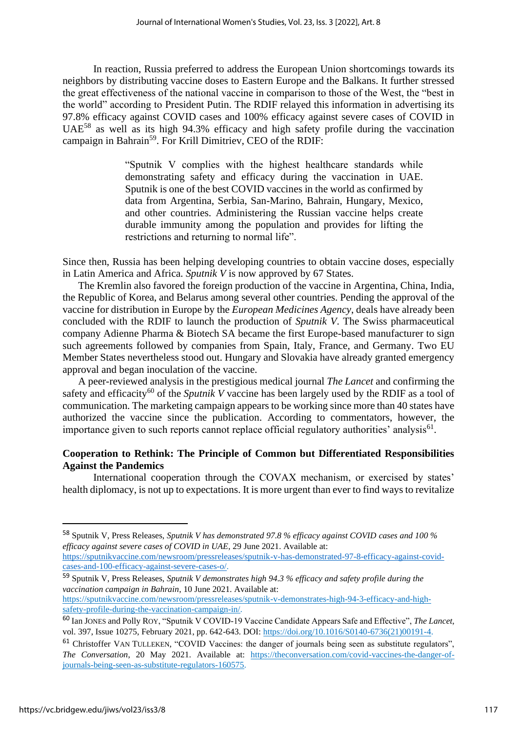In reaction, Russia preferred to address the European Union shortcomings towards its neighbors by distributing vaccine doses to Eastern Europe and the Balkans. It further stressed the great effectiveness of the national vaccine in comparison to those of the West, the "best in the world" according to President Putin. The RDIF relayed this information in advertising its 97.8% efficacy against COVID cases and 100% efficacy against severe cases of COVID in UAE<sup>58</sup> as well as its high 94.3% efficacy and high safety profile during the vaccination campaign in Bahrain<sup>59</sup>. For Krill Dimitriev, CEO of the RDIF:

> "Sputnik V complies with the highest healthcare standards while demonstrating safety and efficacy during the vaccination in UAE. Sputnik is one of the best COVID vaccines in the world as confirmed by data from Argentina, Serbia, San-Marino, Bahrain, Hungary, Mexico, and other countries. Administering the Russian vaccine helps create durable immunity among the population and provides for lifting the restrictions and returning to normal life".

Since then, Russia has been helping developing countries to obtain vaccine doses, especially in Latin America and Africa. *Sputnik V* is now approved by 67 States.

The Kremlin also favored the foreign production of the vaccine in Argentina, China, India, the Republic of Korea, and Belarus among several other countries. Pending the approval of the vaccine for distribution in Europe by the *European Medicines Agency*, deals have already been concluded with the RDIF to launch the production of *Sputnik V*. The Swiss pharmaceutical company Adienne Pharma & Biotech SA became the first Europe-based manufacturer to sign such agreements followed by companies from Spain, Italy, France, and Germany. Two EU Member States nevertheless stood out. Hungary and Slovakia have already granted emergency approval and began inoculation of the vaccine.

A peer-reviewed analysis in the prestigious medical journal *The Lancet* and confirming the safety and efficacity<sup>60</sup> of the *Sputnik V* vaccine has been largely used by the RDIF as a tool of communication. The marketing campaign appears to be working since more than 40 states have authorized the vaccine since the publication. According to commentators, however, the importance given to such reports cannot replace official regulatory authorities' analysis<sup>61</sup>.

## **Cooperation to Rethink: The Principle of Common but Differentiated Responsibilities Against the Pandemics**

International cooperation through the COVAX mechanism, or exercised by states' health diplomacy, is not up to expectations. It is more urgent than ever to find ways to revitalize

[safety-profile-during-the-vaccination-campaign-in/.](https://sputnikvaccine.com/newsroom/pressreleases/sputnik-v-demonstrates-high-94-3-efficacy-and-high-safety-profile-during-the-vaccination-campaign-in/)

<sup>58</sup> Sputnik V, Press Releases, *Sputnik V has demonstrated 97.8 % efficacy against COVID cases and 100 % efficacy against severe cases of COVID in UAE*, 29 June 2021. Available at: [https://sputnikvaccine.com/newsroom/pressreleases/sputnik-v-has-demonstrated-97-8-efficacy-against-covid-](https://sputnikvaccine.com/newsroom/pressreleases/sputnik-v-has-demonstrated-97-8-efficacy-against-covid-cases-and-100-efficacy-against-severe-cases-o/)

[cases-and-100-efficacy-against-severe-cases-o/.](https://sputnikvaccine.com/newsroom/pressreleases/sputnik-v-has-demonstrated-97-8-efficacy-against-covid-cases-and-100-efficacy-against-severe-cases-o/)

<sup>59</sup> Sputnik V, Press Releases, *Sputnik V demonstrates high 94.3 % efficacy and safety profile during the vaccination campaign in Bahrain*, 10 June 2021. Available at: [https://sputnikvaccine.com/newsroom/pressreleases/sputnik-v-demonstrates-high-94-3-efficacy-and-high-](https://sputnikvaccine.com/newsroom/pressreleases/sputnik-v-demonstrates-high-94-3-efficacy-and-high-safety-profile-during-the-vaccination-campaign-in/)

<sup>60</sup> Ian JONES and Polly ROY, "Sputnik V COVID-19 Vaccine Candidate Appears Safe and Effective", *The Lancet*, vol. 397, Issue 10275, February 2021, pp. 642-643. DOI: [https://doi.org/10.1016/S0140-6736\(21\)00191-4.](https://doi.org/10.1016/S0140-6736(21)00191-4)

<sup>&</sup>lt;sup>61</sup> Christoffer VAN TULLEKEN, "COVID Vaccines: the danger of journals being seen as substitute regulators", *The Conversation*, 20 May 2021. Available at: [https://theconversation.com/covid-vaccines-the-danger-of](https://theconversation.com/covid-vaccines-the-danger-of-journals-being-seen-as-substitute-regulators-160575)[journals-being-seen-as-substitute-regulators-160575.](https://theconversation.com/covid-vaccines-the-danger-of-journals-being-seen-as-substitute-regulators-160575)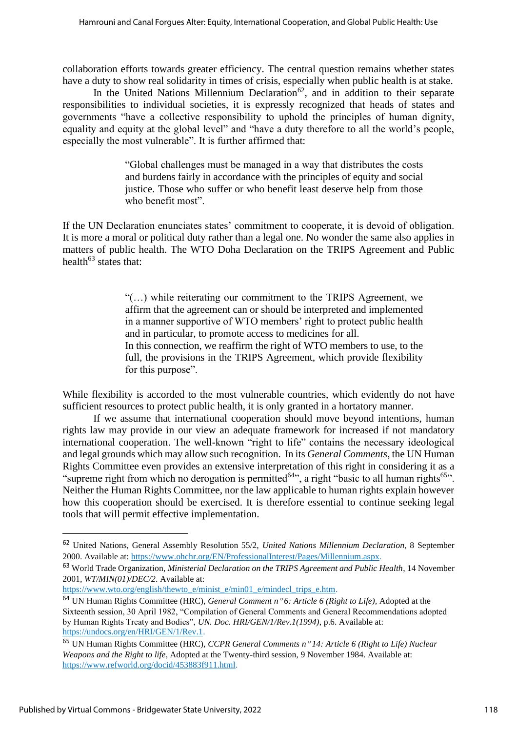collaboration efforts towards greater efficiency. The central question remains whether states have a duty to show real solidarity in times of crisis, especially when public health is at stake.

In the United Nations Millennium Declaration<sup>62</sup>, and in addition to their separate responsibilities to individual societies, it is expressly recognized that heads of states and governments "have a collective responsibility to uphold the principles of human dignity, equality and equity at the global level" and "have a duty therefore to all the world's people, especially the most vulnerable". It is further affirmed that:

> "Global challenges must be managed in a way that distributes the costs and burdens fairly in accordance with the principles of equity and social justice. Those who suffer or who benefit least deserve help from those who benefit most".

If the UN Declaration enunciates states' commitment to cooperate, it is devoid of obligation. It is more a moral or political duty rather than a legal one. No wonder the same also applies in matters of public health. The WTO Doha Declaration on the TRIPS Agreement and Public health<sup>63</sup> states that:

> "(…) while reiterating our commitment to the TRIPS Agreement, we affirm that the agreement can or should be interpreted and implemented in a manner supportive of WTO members' right to protect public health and in particular, to promote access to medicines for all. In this connection, we reaffirm the right of WTO members to use, to the full, the provisions in the TRIPS Agreement, which provide flexibility for this purpose".

While flexibility is accorded to the most vulnerable countries, which evidently do not have sufficient resources to protect public health, it is only granted in a hortatory manner.

If we assume that international cooperation should move beyond intentions, human rights law may provide in our view an adequate framework for increased if not mandatory international cooperation. The well-known "right to life" contains the necessary ideological and legal grounds which may allow such recognition. In its *General Comments*, the UN Human Rights Committee even provides an extensive interpretation of this right in considering it as a "supreme right from which no derogation is permitted<sup>64</sup>", a right "basic to all human rights<sup>65</sup>". Neither the Human Rights Committee, nor the law applicable to human rights explain however how this cooperation should be exercised. It is therefore essential to continue seeking legal tools that will permit effective implementation.

<sup>63</sup> World Trade Organization, *Ministerial Declaration on the TRIPS Agreement and Public Health*, 14 November 2001*, WT/MIN(01)/DEC/2*. Available at:

<sup>62</sup> United Nations, General Assembly Resolution 55/2, *United Nations Millennium Declaration*, 8 September 2000. Available at: [https://www.ohchr.org/EN/ProfessionalInterest/Pages/Millennium.aspx.](https://www.ohchr.org/EN/ProfessionalInterest/Pages/Millennium.aspx)

[https://www.wto.org/english/thewto\\_e/minist\\_e/min01\\_e/mindecl\\_trips\\_e.htm.](https://www.wto.org/english/thewto_e/minist_e/min01_e/mindecl_trips_e.htm)

<sup>64</sup> UN Human Rights Committee (HRC), *General Comment n 6: Article 6 (Right to Life),* Adopted at the Sixteenth session, 30 April 1982, "Compilation of General Comments and General Recommendations adopted by Human Rights Treaty and Bodies", *UN. Doc. HRI/GEN/1/Rev.1(1994)*, p.6. Available at: [https://undocs.org/en/HRI/GEN/1/Rev.1.](https://undocs.org/en/HRI/GEN/1/Rev.1)

<sup>65</sup> UN Human Rights Committee (HRC), *CCPR General Comments n 14: Article 6 (Right to Life) Nuclear Weapons and the Right to life*, Adopted at the Twenty-third session, 9 November 1984. Available at: [https://www.refworld.org/docid/453883f911.html.](https://www.refworld.org/docid/453883f911.html)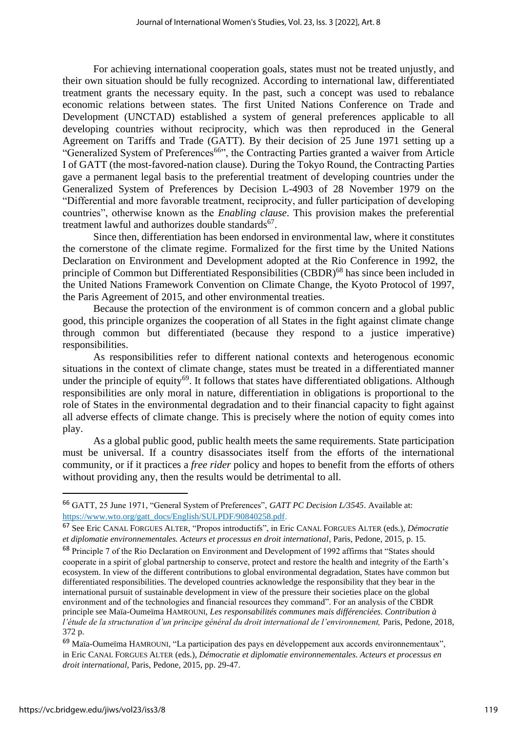For achieving international cooperation goals, states must not be treated unjustly, and their own situation should be fully recognized. According to international law, differentiated treatment grants the necessary equity. In the past, such a concept was used to rebalance economic relations between states. The first United Nations Conference on Trade and Development (UNCTAD) established a system of general preferences applicable to all developing countries without reciprocity, which was then reproduced in the General Agreement on Tariffs and Trade (GATT). By their decision of 25 June 1971 setting up a "Generalized System of Preferences<sup>66</sup>", the Contracting Parties granted a waiver from Article I of GATT (the most-favored-nation clause). During the Tokyo Round, the Contracting Parties gave a permanent legal basis to the preferential treatment of developing countries under the Generalized System of Preferences by Decision L-4903 of 28 November 1979 on the "Differential and more favorable treatment, reciprocity, and fuller participation of developing countries", otherwise known as the *Enabling clause*. This provision makes the preferential treatment lawful and authorizes double standards<sup>67</sup>.

Since then, differentiation has been endorsed in environmental law, where it constitutes the cornerstone of the climate regime. Formalized for the first time by the United Nations Declaration on Environment and Development adopted at the Rio Conference in 1992, the principle of Common but Differentiated Responsibilities (CBDR)<sup>68</sup> has since been included in the United Nations Framework Convention on Climate Change, the Kyoto Protocol of 1997, the Paris Agreement of 2015, and other environmental treaties.

Because the protection of the environment is of common concern and a global public good, this principle organizes the cooperation of all States in the fight against climate change through common but differentiated (because they respond to a justice imperative) responsibilities.

As responsibilities refer to different national contexts and heterogenous economic situations in the context of climate change, states must be treated in a differentiated manner under the principle of equity<sup>69</sup>. It follows that states have differentiated obligations. Although responsibilities are only moral in nature, differentiation in obligations is proportional to the role of States in the environmental degradation and to their financial capacity to fight against all adverse effects of climate change. This is precisely where the notion of equity comes into play.

As a global public good, public health meets the same requirements. State participation must be universal. If a country disassociates itself from the efforts of the international community, or if it practices a *free rider* policy and hopes to benefit from the efforts of others without providing any, then the results would be detrimental to all.

<sup>66</sup> GATT, 25 June 1971, "General System of Preferences", *GATT PC Decision L/3545*. Available at: [https://www.wto.org/gatt\\_docs/English/SULPDF/90840258.pdf.](https://www.wto.org/gatt_docs/English/SULPDF/90840258.pdf)

<sup>67</sup> See Eric CANAL FORGUES ALTER, "Propos introductifs", in Eric CANAL FORGUES ALTER (eds.), *Démocratie et diplomatie environnementales. Acteurs et processus en droit international*, Paris, Pedone, 2015, p. 15.

<sup>68</sup> Principle 7 of the Rio Declaration on Environment and Development of 1992 affirms that "States should cooperate in a spirit of global partnership to conserve, protect and restore the health and integrity of the Earth's ecosystem. In view of the different contributions to global environmental degradation, States have common but differentiated responsibilities. The developed countries acknowledge the responsibility that they bear in the international pursuit of sustainable development in view of the pressure their societies place on the global environment and of the technologies and financial resources they command". For an analysis of the CBDR principle see Maïa-Oumeïma HAMROUNI, *Les responsabilités communes mais différenciées. Contribution à l'étude de la structuration d'un principe général du droit international de l'environnement,* Paris, Pedone, 2018, 372 p.

<sup>69</sup> Maïa-Oumeïma HAMROUNI, "La participation des pays en développement aux accords environnementaux", in Eric CANAL FORGUES ALTER (eds.), *Démocratie et diplomatie environnementales. Acteurs et processus en droit international,* Paris, Pedone, 2015, pp. 29-47.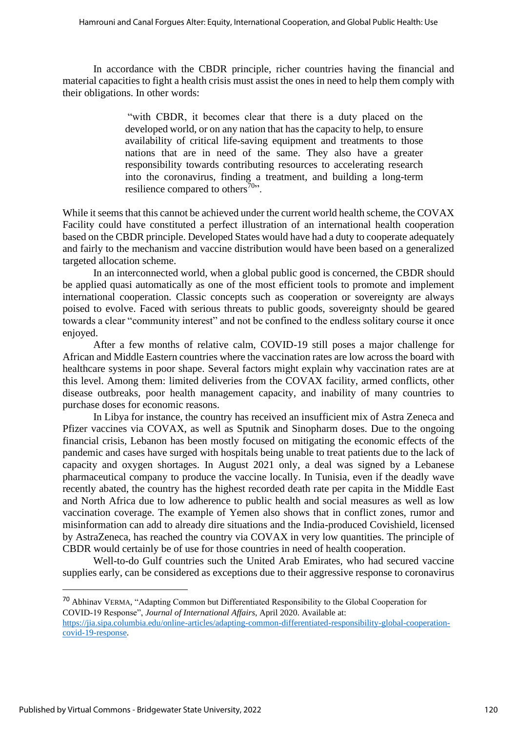In accordance with the CBDR principle, richer countries having the financial and material capacities to fight a health crisis must assist the ones in need to help them comply with their obligations. In other words:

> "with CBDR, it becomes clear that there is a duty placed on the developed world, or on any nation that has the capacity to help, to ensure availability of critical life-saving equipment and treatments to those nations that are in need of the same. They also have a greater responsibility towards contributing resources to accelerating research into the coronavirus, finding a treatment, and building a long-term resilience compared to others<sup>70</sup>".

While it seems that this cannot be achieved under the current world health scheme, the COVAX Facility could have constituted a perfect illustration of an international health cooperation based on the CBDR principle. Developed States would have had a duty to cooperate adequately and fairly to the mechanism and vaccine distribution would have been based on a generalized targeted allocation scheme.

In an interconnected world, when a global public good is concerned, the CBDR should be applied quasi automatically as one of the most efficient tools to promote and implement international cooperation. Classic concepts such as cooperation or sovereignty are always poised to evolve. Faced with serious threats to public goods, sovereignty should be geared towards a clear "community interest" and not be confined to the endless solitary course it once enjoyed.

After a few months of relative calm, COVID-19 still poses a major challenge for African and Middle Eastern countries where the vaccination rates are low across the board with healthcare systems in poor shape. Several factors might explain why vaccination rates are at this level. Among them: limited deliveries from the COVAX facility, armed conflicts, other disease outbreaks, poor health management capacity, and inability of many countries to purchase doses for economic reasons.

In Libya for instance, the country has received an insufficient mix of Astra Zeneca and Pfizer vaccines via COVAX, as well as Sputnik and Sinopharm doses. Due to the ongoing financial crisis, Lebanon has been mostly focused on mitigating the economic effects of the pandemic and cases have surged with hospitals being unable to treat patients due to the lack of capacity and oxygen shortages. In August 2021 only, a deal was signed by a Lebanese pharmaceutical company to produce the vaccine locally. In Tunisia, even if the deadly wave recently abated, the country has the highest recorded death rate per capita in the Middle East and North Africa due to low adherence to public health and social measures as well as low vaccination coverage. The example of Yemen also shows that in conflict zones, rumor and misinformation can add to already dire situations and the India-produced Covishield, licensed by AstraZeneca, has reached the country via COVAX in very low quantities. The principle of CBDR would certainly be of use for those countries in need of health cooperation.

Well-to-do Gulf countries such the United Arab Emirates, who had secured vaccine supplies early, can be considered as exceptions due to their aggressive response to coronavirus

<sup>70</sup> Abhinav VERMA, "Adapting Common but Differentiated Responsibility to the Global Cooperation for COVID-19 Response", *Journal of International Affairs*, April 2020. Available at: [https://jia.sipa.columbia.edu/online-articles/adapting-common-differentiated-responsibility-global-cooperation](https://jia.sipa.columbia.edu/online-articles/adapting-common-differentiated-responsibility-global-cooperation-covid-19-response)[covid-19-response.](https://jia.sipa.columbia.edu/online-articles/adapting-common-differentiated-responsibility-global-cooperation-covid-19-response)